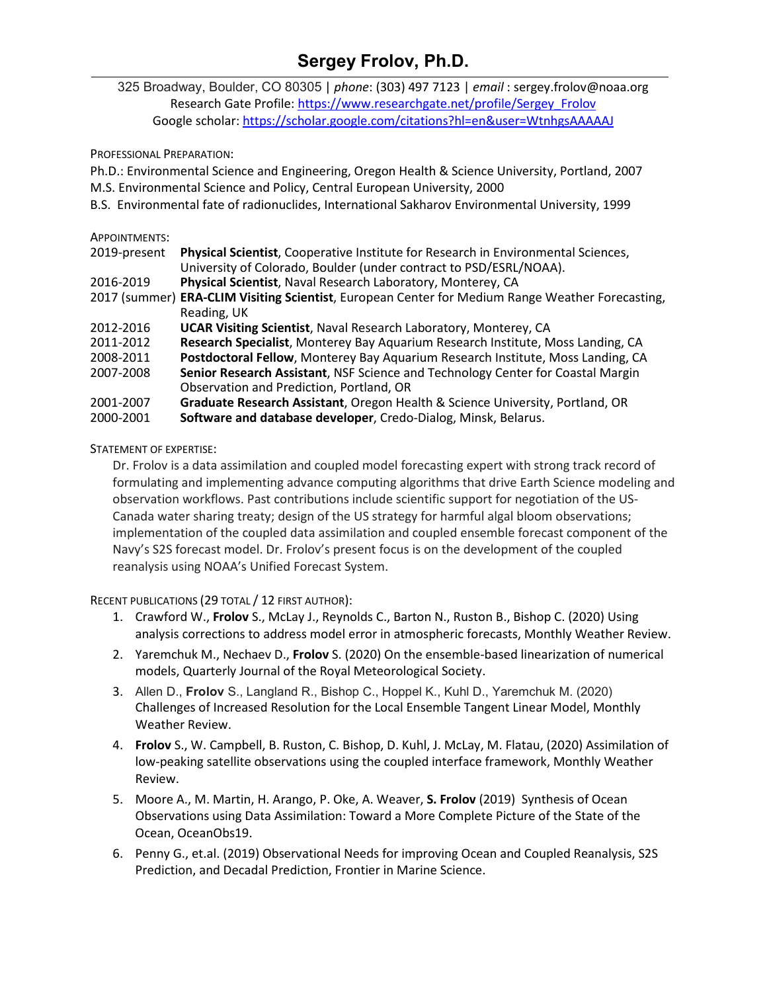## **Sergey Frolov, Ph.D.**

325 Broadway, Boulder, CO 80305 | *phone*: (303) 497 7123 | *email* : sergey.frolov@noaa.org Research Gate Profile: [https://www.researchgate.net/profile/Sergey\\_Frolov](https://www.researchgate.net/profile/Sergey_Frolov) Google scholar[: https://scholar.google.com/citations?hl=en&user=WtnhgsAAAAAJ](https://scholar.google.com/citations?hl=en&user=WtnhgsAAAAAJ)

PROFESSIONAL PREPARATION:

Ph.D.: Environmental Science and Engineering, Oregon Health & Science University, Portland, 2007 M.S. Environmental Science and Policy, Central European University, 2000

- 
- B.S. Environmental fate of radionuclides, International Sakharov Environmental University, 1999

## APPOINTMENTS:

| 2019-present | Physical Scientist, Cooperative Institute for Research in Environmental Sciences,                |
|--------------|--------------------------------------------------------------------------------------------------|
|              | University of Colorado, Boulder (under contract to PSD/ESRL/NOAA).                               |
| 2016-2019    | Physical Scientist, Naval Research Laboratory, Monterey, CA                                      |
|              | 2017 (summer) ERA-CLIM Visiting Scientist, European Center for Medium Range Weather Forecasting, |
|              | Reading, UK                                                                                      |
| 2012-2016    | <b>UCAR Visiting Scientist, Naval Research Laboratory, Monterey, CA</b>                          |
| 2011-2012    | Research Specialist, Monterey Bay Aquarium Research Institute, Moss Landing, CA                  |
| 2008-2011    | Postdoctoral Fellow, Monterey Bay Aquarium Research Institute, Moss Landing, CA                  |
| 2007-2008    | Senior Research Assistant, NSF Science and Technology Center for Coastal Margin                  |
|              | Observation and Prediction, Portland, OR                                                         |
| 2001-2007    | Graduate Research Assistant, Oregon Health & Science University, Portland, OR                    |
| 2000-2001    | Software and database developer, Credo-Dialog, Minsk, Belarus.                                   |

STATEMENT OF EXPERTISE:

Dr. Frolov is a data assimilation and coupled model forecasting expert with strong track record of formulating and implementing advance computing algorithms that drive Earth Science modeling and observation workflows. Past contributions include scientific support for negotiation of the US-Canada water sharing treaty; design of the US strategy for harmful algal bloom observations; implementation of the coupled data assimilation and coupled ensemble forecast component of the Navy's S2S forecast model. Dr. Frolov's present focus is on the development of the coupled reanalysis using NOAA's Unified Forecast System.

RECENT PUBLICATIONS (29 TOTAL / 12 FIRST AUTHOR):

- 1. Crawford W., **Frolov** S., McLay J., Reynolds C., Barton N., Ruston B., Bishop C. (2020) Using analysis corrections to address model error in atmospheric forecasts, Monthly Weather Review.
- 2. Yaremchuk M., Nechaev D., **Frolov** S. (2020) On the ensemble-based linearization of numerical models, Quarterly Journal of the Royal Meteorological Society.
- 3. Allen D., **Frolov** S., Langland R., Bishop C., Hoppel K., Kuhl D., Yaremchuk M. (2020) Challenges of Increased Resolution for the Local Ensemble Tangent Linear Model, Monthly Weather Review.
- 4. **Frolov** S., W. Campbell, B. Ruston, C. Bishop, D. Kuhl, J. McLay, M. Flatau, (2020) Assimilation of low-peaking satellite observations using the coupled interface framework, Monthly Weather Review.
- 5. Moore A., M. Martin, H. Arango, P. Oke, A. Weaver, **S. Frolov** (2019) Synthesis of Ocean Observations using Data Assimilation: Toward a More Complete Picture of the State of the Ocean, OceanObs19.
- 6. Penny G., et.al. (2019) Observational Needs for improving Ocean and Coupled Reanalysis, S2S Prediction, and Decadal Prediction, Frontier in Marine Science.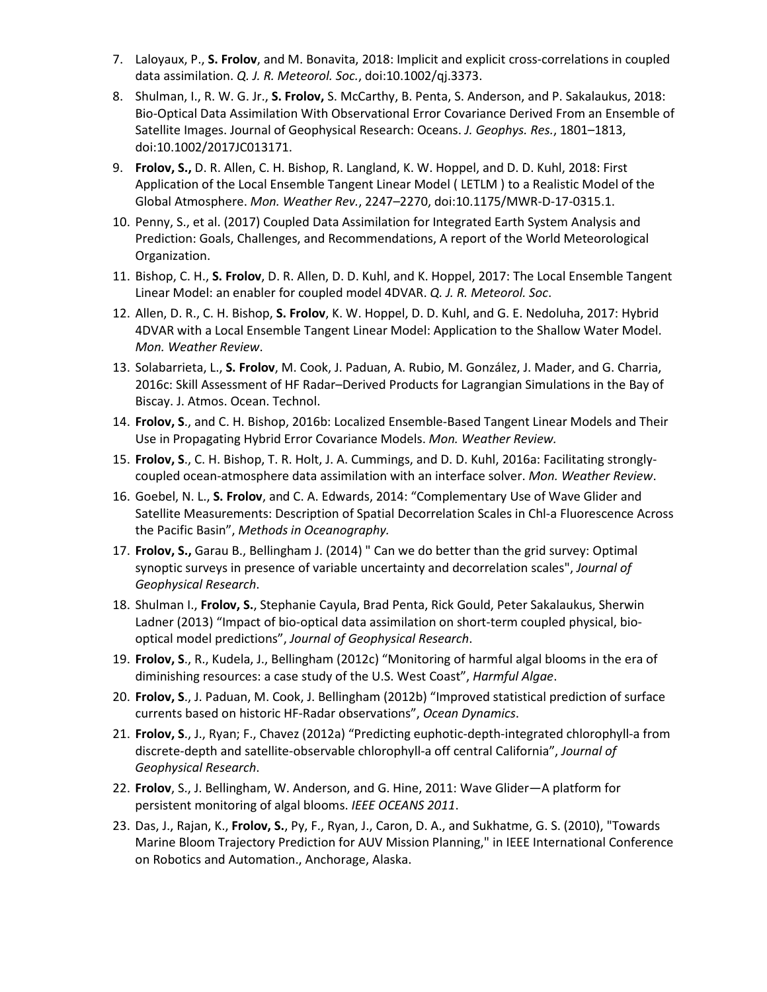- 7. Laloyaux, P., **S. Frolov**, and M. Bonavita, 2018: Implicit and explicit cross-correlations in coupled data assimilation. *Q. J. R. Meteorol. Soc.*, doi:10.1002/qj.3373.
- 8. Shulman, I., R. W. G. Jr., **S. Frolov,** S. McCarthy, B. Penta, S. Anderson, and P. Sakalaukus, 2018: Bio-Optical Data Assimilation With Observational Error Covariance Derived From an Ensemble of Satellite Images. Journal of Geophysical Research: Oceans. *J. Geophys. Res.*, 1801–1813, doi:10.1002/2017JC013171.
- 9. **Frolov, S.,** D. R. Allen, C. H. Bishop, R. Langland, K. W. Hoppel, and D. D. Kuhl, 2018: First Application of the Local Ensemble Tangent Linear Model ( LETLM ) to a Realistic Model of the Global Atmosphere. *Mon. Weather Rev.*, 2247–2270, doi:10.1175/MWR-D-17-0315.1.
- 10. Penny, S., et al. (2017) Coupled Data Assimilation for Integrated Earth System Analysis and Prediction: Goals, Challenges, and Recommendations, A report of the World Meteorological Organization.
- 11. Bishop, C. H., **S. Frolov**, D. R. Allen, D. D. Kuhl, and K. Hoppel, 2017: The Local Ensemble Tangent Linear Model: an enabler for coupled model 4DVAR. *Q. J. R. Meteorol. Soc*.
- 12. Allen, D. R., C. H. Bishop, **S. Frolov**, K. W. Hoppel, D. D. Kuhl, and G. E. Nedoluha, 2017: Hybrid 4DVAR with a Local Ensemble Tangent Linear Model: Application to the Shallow Water Model. *Mon. Weather Review*.
- 13. Solabarrieta, L., **S. Frolov**, M. Cook, J. Paduan, A. Rubio, M. González, J. Mader, and G. Charria, 2016c: Skill Assessment of HF Radar–Derived Products for Lagrangian Simulations in the Bay of Biscay. J. Atmos. Ocean. Technol.
- 14. **Frolov, S**., and C. H. Bishop, 2016b: Localized Ensemble-Based Tangent Linear Models and Their Use in Propagating Hybrid Error Covariance Models. *Mon. Weather Review.*
- 15. **Frolov, S**., C. H. Bishop, T. R. Holt, J. A. Cummings, and D. D. Kuhl, 2016a: Facilitating stronglycoupled ocean-atmosphere data assimilation with an interface solver. *Mon. Weather Review*.
- 16. Goebel, N. L., **S. Frolov**, and C. A. Edwards, 2014: "Complementary Use of Wave Glider and Satellite Measurements: Description of Spatial Decorrelation Scales in Chl-a Fluorescence Across the Pacific Basin", *Methods in Oceanography.*
- 17. **Frolov, S.,** Garau B., Bellingham J. (2014) " Can we do better than the grid survey: Optimal synoptic surveys in presence of variable uncertainty and decorrelation scales", *Journal of Geophysical Research*.
- 18. Shulman I., **Frolov, S.**, Stephanie Cayula, Brad Penta, Rick Gould, Peter Sakalaukus, Sherwin Ladner (2013) "Impact of bio-optical data assimilation on short-term coupled physical, biooptical model predictions", *Journal of Geophysical Research*.
- 19. **Frolov, S**., R., Kudela, J., Bellingham (2012c) "Monitoring of harmful algal blooms in the era of diminishing resources: a case study of the U.S. West Coast", *Harmful Algae*.
- 20. **Frolov, S**., J. Paduan, M. Cook, J. Bellingham (2012b) "Improved statistical prediction of surface currents based on historic HF-Radar observations", *Ocean Dynamics*.
- 21. **Frolov, S**., J., Ryan; F., Chavez (2012a) "Predicting euphotic-depth-integrated chlorophyll-a from discrete-depth and satellite-observable chlorophyll-a off central California", *Journal of Geophysical Research*.
- 22. **Frolov**, S., J. Bellingham, W. Anderson, and G. Hine, 2011: Wave Glider—A platform for persistent monitoring of algal blooms. *IEEE OCEANS 2011*.
- 23. Das, J., Rajan, K., **Frolov, S.**, Py, F., Ryan, J., Caron, D. A., and Sukhatme, G. S. (2010), "Towards Marine Bloom Trajectory Prediction for AUV Mission Planning," in IEEE International Conference on Robotics and Automation., Anchorage, Alaska.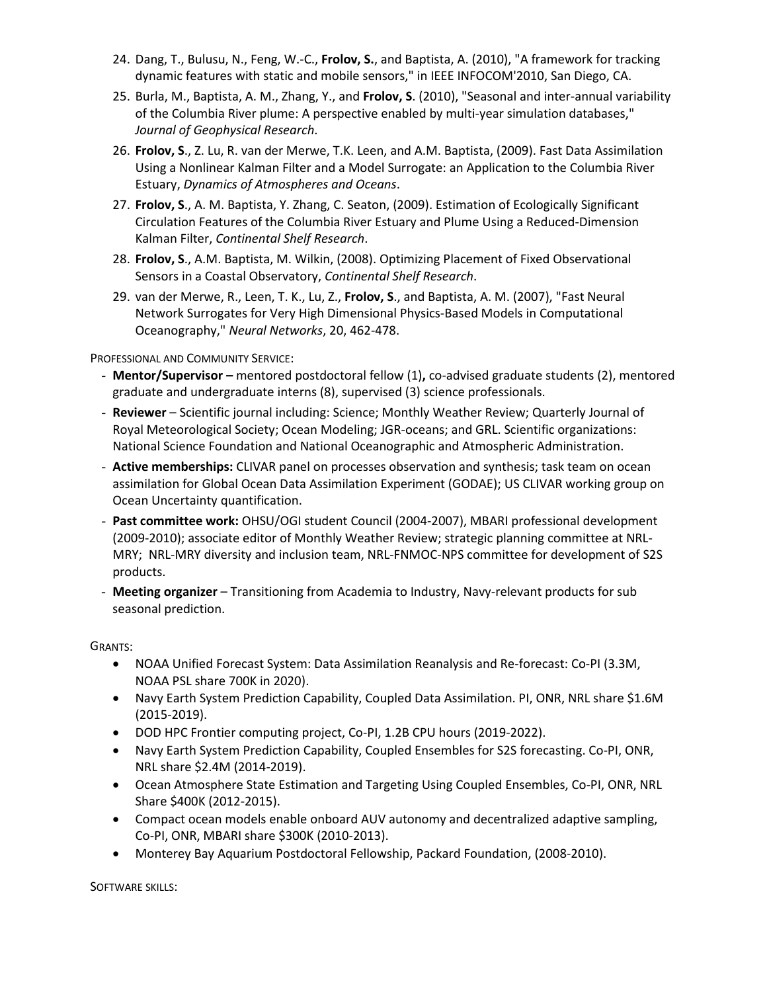- 24. Dang, T., Bulusu, N., Feng, W.-C., **Frolov, S.**, and Baptista, A. (2010), "A framework for tracking dynamic features with static and mobile sensors," in IEEE INFOCOM'2010, San Diego, CA.
- 25. Burla, M., Baptista, A. M., Zhang, Y., and **Frolov, S**. (2010), "Seasonal and inter-annual variability of the Columbia River plume: A perspective enabled by multi-year simulation databases," *Journal of Geophysical Research*.
- 26. **Frolov, S**., Z. Lu, R. van der Merwe, T.K. Leen, and A.M. Baptista, (2009). Fast Data Assimilation Using a Nonlinear Kalman Filter and a Model Surrogate: an Application to the Columbia River Estuary, *Dynamics of Atmospheres and Oceans*.
- 27. **Frolov, S**., A. M. Baptista, Y. Zhang, C. Seaton, (2009). Estimation of Ecologically Significant Circulation Features of the Columbia River Estuary and Plume Using a Reduced-Dimension Kalman Filter, *Continental Shelf Research*.
- 28. **Frolov, S**., A.M. Baptista, M. Wilkin, (2008). Optimizing Placement of Fixed Observational Sensors in a Coastal Observatory, *Continental Shelf Research*.
- 29. van der Merwe, R., Leen, T. K., Lu, Z., **Frolov, S**., and Baptista, A. M. (2007), "Fast Neural Network Surrogates for Very High Dimensional Physics-Based Models in Computational Oceanography," *Neural Networks*, 20, 462-478.

PROFESSIONAL AND COMMUNITY SERVICE:

- **Mentor/Supervisor –** mentored postdoctoral fellow (1)**,** co-advised graduate students (2), mentored graduate and undergraduate interns (8), supervised (3) science professionals.
- **Reviewer** Scientific journal including: Science; Monthly Weather Review; Quarterly Journal of Royal Meteorological Society; Ocean Modeling; JGR-oceans; and GRL. Scientific organizations: National Science Foundation and National Oceanographic and Atmospheric Administration.
- **Active memberships:** CLIVAR panel on processes observation and synthesis; task team on ocean assimilation for Global Ocean Data Assimilation Experiment (GODAE); US CLIVAR working group on Ocean Uncertainty quantification.
- **Past committee work:** OHSU/OGI student Council (2004-2007), MBARI professional development (2009-2010); associate editor of Monthly Weather Review; strategic planning committee at NRL-MRY; NRL-MRY diversity and inclusion team, NRL-FNMOC-NPS committee for development of S2S products.
- **Meeting organizer**  Transitioning from Academia to Industry, Navy-relevant products for sub seasonal prediction.

GRANTS:

- NOAA Unified Forecast System: Data Assimilation Reanalysis and Re-forecast: Co-PI (3.3M, NOAA PSL share 700K in 2020).
- Navy Earth System Prediction Capability, Coupled Data Assimilation. PI, ONR, NRL share \$1.6M (2015-2019).
- DOD HPC Frontier computing project, Co-PI, 1.2B CPU hours (2019-2022).
- Navy Earth System Prediction Capability, Coupled Ensembles for S2S forecasting. Co-PI, ONR, NRL share \$2.4M (2014-2019).
- Ocean Atmosphere State Estimation and Targeting Using Coupled Ensembles, Co-PI, ONR, NRL Share \$400K (2012-2015).
- Compact ocean models enable onboard AUV autonomy and decentralized adaptive sampling, Co-PI, ONR, MBARI share \$300K (2010-2013).
- Monterey Bay Aquarium Postdoctoral Fellowship, Packard Foundation, (2008-2010).

SOFTWARE SKILLS: